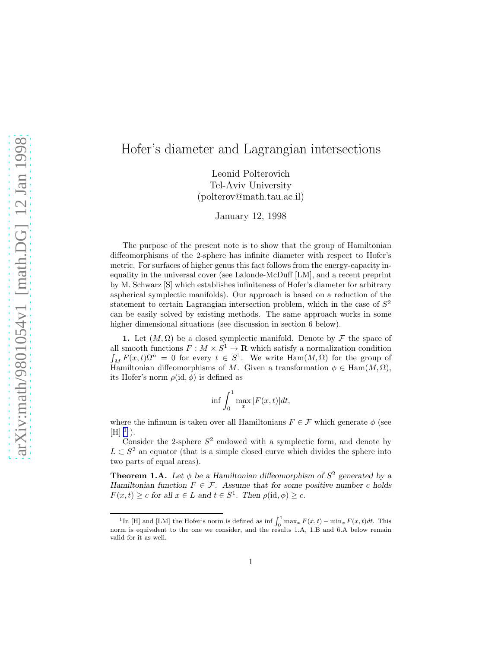## Hofer's diameter and Lagrangian intersections

Leonid Polterovich Tel-Aviv University (polterov@math.tau.ac.il)

January 12, 1998

The purpose of the present note is to show that the group of Hamiltonian diffeomorphisms of the 2-sphere has infinite diameter with respect to Hofer's metric. For surfaces of higher genus this fact follows from the energy-capacity inequality in the universal cover (see Lalonde-McDuff [LM], and a recent preprint by M. Schwarz [S] which establishes infiniteness of Hofer's diameter for arbitrary aspherical symplectic manifolds). Our approach is based on a reduction of the statement to certain Lagrangian intersection problem, which in the case of  $S<sup>2</sup>$ can be easily solved by existing methods. The same approach works in some higher dimensional situations (see discussion in section 6 below).

1. Let  $(M, \Omega)$  be a closed symplectic manifold. Denote by F the space of all smooth functions  $F: M \times S^1 \to \mathbf{R}$  which satisfy a normalization condition  $\int_M F(x,t)\Omega^n = 0$  for every  $t \in S^1$ . We write  $\text{Ham}(M,\Omega)$  for the group of Hamiltonian diffeomorphisms of M. Given a transformation  $\phi \in \text{Ham}(M, \Omega)$ , its Hofer's norm  $\rho(id, \phi)$  is defined as

$$
\inf \int_0^1 \max_x |F(x,t)| dt,
$$

where the infimum is taken over all Hamiltonians  $F \in \mathcal{F}$  which generate  $\phi$  (see  $[H]$ <sup>1</sup>).

Consider the 2-sphere  $S^2$  endowed with a symplectic form, and denote by  $L \subset S^2$  an equator (that is a simple closed curve which divides the sphere into two parts of equal areas).

**Theorem 1.A.** Let  $\phi$  be a Hamiltonian diffeomorphism of  $S^2$  generated by a Hamiltonian function  $F \in \mathcal{F}$ . Assume that for some positive number c holds  $F(x,t) \geq c$  for all  $x \in L$  and  $t \in S^1$ . Then  $\rho(\mathrm{id}, \phi) \geq c$ .

<sup>&</sup>lt;sup>1</sup>In [H] and [LM] the Hofer's norm is defined as  $\inf \int_0^1 \max_x F(x,t) - \min_x F(x,t) dt$ . This norm is equivalent to the one we consider, and the results 1.A, 1.B and 6.A below remain valid for it as well.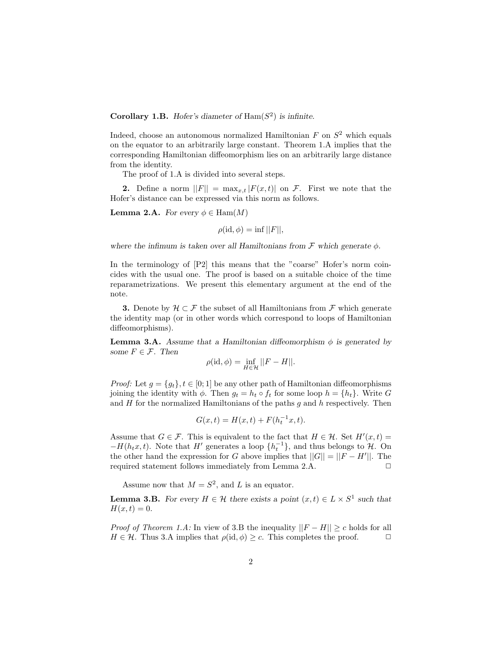Corollary 1.B. Hofer's diameter of  $\text{Ham}(S^2)$  is infinite.

Indeed, choose an autonomous normalized Hamiltonian  $F$  on  $S^2$  which equals on the equator to an arbitrarily large constant. Theorem 1.A implies that the corresponding Hamiltonian diffeomorphism lies on an arbitrarily large distance from the identity.

The proof of 1.A is divided into several steps.

**2.** Define a norm  $||F|| = \max_{x,t} |F(x,t)|$  on F. First we note that the Hofer's distance can be expressed via this norm as follows.

**Lemma 2.A.** For every  $\phi \in \text{Ham}(M)$ 

 $\rho(\mathrm{id}, \phi) = \inf ||F||,$ 

where the infimum is taken over all Hamiltonians from  $\mathcal F$  which generate  $\phi$ .

In the terminology of  $[P2]$  this means that the "coarse" Hofer's norm coincides with the usual one. The proof is based on a suitable choice of the time reparametrizations. We present this elementary argument at the end of the note.

**3.** Denote by  $\mathcal{H} \subset \mathcal{F}$  the subset of all Hamiltonians from  $\mathcal{F}$  which generate the identity map (or in other words which correspond to loops of Hamiltonian diffeomorphisms).

**Lemma 3.A.** Assume that a Hamiltonian diffeomorphism  $\phi$  is generated by some  $F \in \mathcal{F}$ . Then

$$
\rho(\mathrm{id}, \phi) = \inf_{H \in \mathcal{H}} ||F - H||.
$$

*Proof:* Let  $g = \{g_t\}, t \in [0, 1]$  be any other path of Hamiltonian diffeomorphisms joining the identity with  $\phi$ . Then  $g_t = h_t \circ f_t$  for some loop  $h = \{h_t\}$ . Write G and  $H$  for the normalized Hamiltonians of the paths  $g$  and  $h$  respectively. Then

$$
G(x,t) = H(x,t) + F(h_t^{-1}x,t).
$$

Assume that  $G \in \mathcal{F}$ . This is equivalent to the fact that  $H \in \mathcal{H}$ . Set  $H'(x,t) =$  $-H(h_t x, t)$ . Note that H' generates a loop  $\{h_t^{-1}\}$ , and thus belongs to  $\mathcal{H}$ . On the other hand the expression for G above implies that  $||G|| = ||F - H'||$ . The required statement follows immediately from Lemma 2.A.  $\Box$ 

Assume now that  $M = S^2$ , and L is an equator.

**Lemma 3.B.** For every  $H \in \mathcal{H}$  there exists a point  $(x, t) \in L \times S^1$  such that  $H(x, t) = 0.$ 

*Proof of Theorem 1.A:* In view of 3.B the inequality  $||F - H|| \ge c$  holds for all  $H \in \mathcal{H}$ . Thus 3.A implies that  $\rho(\mathrm{id}, \phi) \geq c$ . This completes the proof.  $\Box$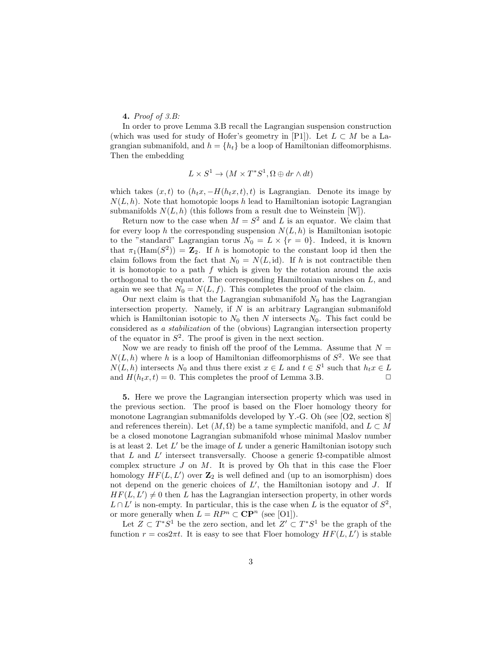## 4. *Proof of 3.B:*

In order to prove Lemma 3.B recall the Lagrangian suspension construction (which was used for study of Hofer's geometry in [P1]). Let  $L \subset M$  be a Lagrangian submanifold, and  $h = \{h_t\}$  be a loop of Hamiltonian diffeomorphisms. Then the embedding

$$
L \times S^1 \to (M \times T^*S^1, \Omega \oplus dr \wedge dt)
$$

which takes  $(x, t)$  to  $(h_t x, -H(h_t x, t), t)$  is Lagrangian. Denote its image by  $N(L, h)$ . Note that homotopic loops h lead to Hamiltonian isotopic Lagrangian submanifolds  $N(L, h)$  (this follows from a result due to Weinstein [W]).

Return now to the case when  $M = S^2$  and L is an equator. We claim that for every loop h the corresponding suspension  $N(L, h)$  is Hamiltonian isotopic to the "standard" Lagrangian torus  $N_0 = L \times \{r = 0\}$ . Indeed, it is known that  $\pi_1(\text{Ham}(S^2)) = \mathbb{Z}_2$ . If h is homotopic to the constant loop id then the claim follows from the fact that  $N_0 = N(L, id)$ . If h is not contractible then it is homotopic to a path  $f$  which is given by the rotation around the axis orthogonal to the equator. The corresponding Hamiltonian vanishes on L, and again we see that  $N_0 = N(L, f)$ . This completes the proof of the claim.

Our next claim is that the Lagrangian submanifold  $N_0$  has the Lagrangian intersection property. Namely, if  $N$  is an arbitrary Lagrangian submanifold which is Hamiltonian isotopic to  $N_0$  then N intersects  $N_0$ . This fact could be considered as *a stabilization* of the (obvious) Lagrangian intersection property of the equator in  $S^2$ . The proof is given in the next section.

Now we are ready to finish off the proof of the Lemma. Assume that  $N =$  $N(L, h)$  where h is a loop of Hamiltonian diffeomorphisms of  $S^2$ . We see that  $N(L, h)$  intersects  $N_0$  and thus there exist  $x \in L$  and  $t \in S^1$  such that  $h_t x \in L$ and  $H(h_t x, t) = 0$ . This completes the proof of Lemma 3.B.

5. Here we prove the Lagrangian intersection property which was used in the previous section. The proof is based on the Floer homology theory for monotone Lagrangian submanifolds developed by Y.-G. Oh (see [O2, section 8] and references therein). Let  $(M, \Omega)$  be a tame symplectic manifold, and  $L \subset M$ be a closed monotone Lagrangian submanifold whose minimal Maslov number is at least 2. Let  $L'$  be the image of  $L$  under a generic Hamiltonian isotopy such that  $L$  and  $L'$  intersect transversally. Choose a generic  $\Omega$ -compatible almost complex structure  $J$  on  $M$ . It is proved by Oh that in this case the Floer homology  $HF(L, L')$  over  $\mathbb{Z}_2$  is well defined and (up to an isomorphism) does not depend on the generic choices of  $L'$ , the Hamiltonian isotopy and  $J$ . If  $HF(L, L') \neq 0$  then L has the Lagrangian intersection property, in other words  $L \cap L'$  is non-empty. In particular, this is the case when L is the equator of  $S^2$ , or more generally when  $L = RP^n \subset \mathbf{CP}^n$  (see [O1]).

Let  $Z \subset T^*S^1$  be the zero section, and let  $Z' \subset T^*S^1$  be the graph of the function  $r = \cos 2\pi t$ . It is easy to see that Floer homology  $HF(L, L')$  is stable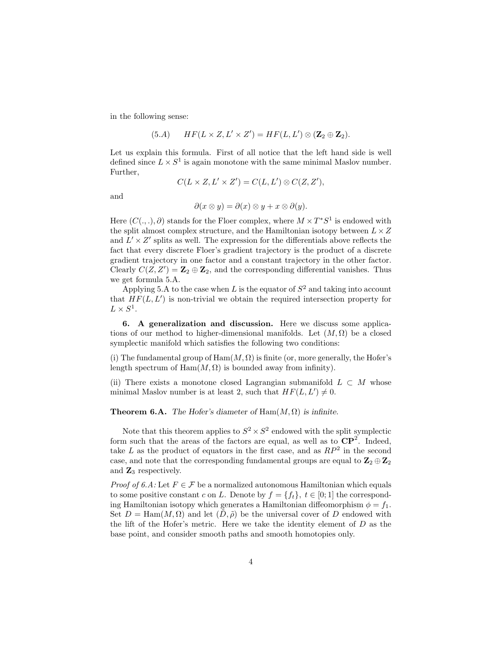in the following sense:

(5.A) 
$$
HF(L \times Z, L' \times Z') = HF(L, L') \otimes (\mathbf{Z}_2 \oplus \mathbf{Z}_2).
$$

Let us explain this formula. First of all notice that the left hand side is well defined since  $L \times S^1$  is again monotone with the same minimal Maslov number. Further,

$$
C(L \times Z, L' \times Z') = C(L, L') \otimes C(Z, Z'),
$$

and

$$
\partial(x \otimes y) = \partial(x) \otimes y + x \otimes \partial(y).
$$

Here  $(C(.,.), \partial)$  stands for the Floer complex, where  $M \times T^*S^1$  is endowed with the split almost complex structure, and the Hamiltonian isotopy between  $L \times Z$ and  $L' \times Z'$  splits as well. The expression for the differentials above reflects the fact that every discrete Floer's gradient trajectory is the product of a discrete gradient trajectory in one factor and a constant trajectory in the other factor. Clearly  $C(Z, Z') = \mathbb{Z}_2 \oplus \mathbb{Z}_2$ , and the corresponding differential vanishes. Thus we get formula 5.A.

Applying 5.A to the case when L is the equator of  $S^2$  and taking into account that  $HF(L, L')$  is non-trivial we obtain the required intersection property for  $L \times S^1$ .

6. A generalization and discussion. Here we discuss some applications of our method to higher-dimensional manifolds. Let  $(M, \Omega)$  be a closed symplectic manifold which satisfies the following two conditions:

(i) The fundamental group of  $\text{Ham}(M, \Omega)$  is finite (or, more generally, the Hofer's length spectrum of  $\text{Ham}(M, \Omega)$  is bounded away from infinity).

(ii) There exists a monotone closed Lagrangian submanifold  $L \subset M$  whose minimal Maslov number is at least 2, such that  $HF(L, L') \neq 0$ .

## **Theorem 6.A.** The Hofer's diameter of  $\text{Ham}(M, \Omega)$  is infinite.

Note that this theorem applies to  $S^2 \times S^2$  endowed with the split symplectic form such that the areas of the factors are equal, as well as to  $\mathbb{CP}^2$ . Indeed, take L as the product of equators in the first case, and as  $RP^2$  in the second case, and note that the corresponding fundamental groups are equal to  ${\bf Z}_2\oplus {\bf Z}_2$ and  $\mathbb{Z}_3$  respectively.

*Proof of 6.A:* Let  $F \in \mathcal{F}$  be a normalized autonomous Hamiltonian which equals to some positive constant c on L. Denote by  $f = \{f_t\}, t \in [0, 1]$  the corresponding Hamiltonian isotopy which generates a Hamiltonian diffeomorphism  $\phi = f_1$ . Set  $D = \text{Ham}(M, \Omega)$  and let  $(D, \tilde{\rho})$  be the universal cover of D endowed with the lift of the Hofer's metric. Here we take the identity element of  $D$  as the base point, and consider smooth paths and smooth homotopies only.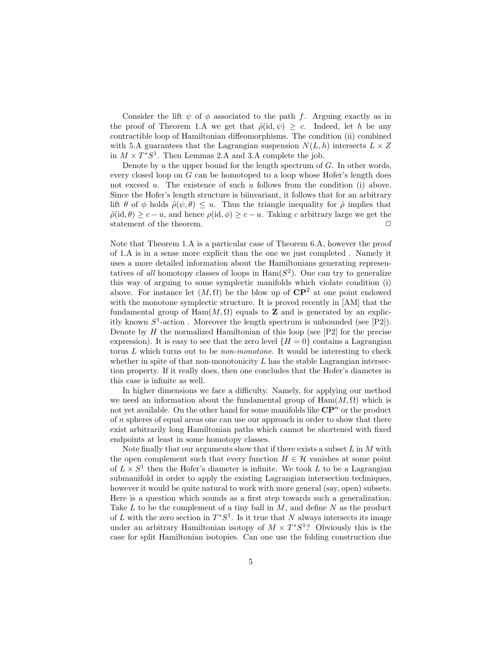Consider the lift  $\psi$  of  $\phi$  associated to the path f. Arguing exactly as in the proof of Theorem 1.A we get that  $\tilde{\rho}(\text{id}, \psi) \geq c$ . Indeed, let h be any contractible loop of Hamiltonian diffeomorphisms. The condition (ii) combined with 5.A guarantees that the Lagrangian suspension  $N(L, h)$  intersects  $L \times Z$ in  $M \times T^*S^1$ . Then Lemmas 2.A and 3.A complete the job.

Denote by  $u$  the upper bound for the length spectrum of  $G$ . In other words, every closed loop on G can be homotoped to a loop whose Hofer's length does not exceed u. The existence of such u follows from the condition (i) above. Since the Hofer's length structure is biinvariant, it follows that for an arbitrary lift  $\theta$  of  $\phi$  holds  $\tilde{\rho}(\psi,\theta) \leq u$ . Thus the triangle inequality for  $\tilde{\rho}$  implies that  $\tilde{\rho}(\text{id}, \theta) \geq c - u$ , and hence  $\rho(\text{id}, \phi) \geq c - u$ . Taking c arbitrary large we get the statement of the theorem.  $\Box$ 

Note that Theorem 1.A is a particular case of Theorem 6.A, however the proof of 1.A is in a sense more explicit than the one we just completed . Namely it uses a more detailed information about the Hamiltonians generating representatives of *all* homotopy classes of loops in  $\text{Ham}(S^2)$ . One can try to generalize this way of arguing to some symplectic manifolds which violate condition (i) above. For instance let  $(M, \Omega)$  be the blow up of  $\mathbb{CP}^2$  at one point endowed with the monotone symplectic structure. It is proved recently in [AM] that the fundamental group of  $\text{Ham}(M, \Omega)$  equals to **Z** and is generated by an explicitly known  $S^1$ -action. Moreover the length spectrum is unbounded (see [P2]). Denote by  $H$  the normalized Hamiltonian of this loop (see [P2] for the precise expression). It is easy to see that the zero level  $\{H = 0\}$  contains a Lagrangian torus L which turns out to be *non-monotone*. It would be interesting to check whether in spite of that non-monotonicity  $L$  has the stable Lagrangian intersection property. If it really does, then one concludes that the Hofer's diameter in this case is infinite as well.

In higher dimensions we face a difficulty. Namely, for applying our method we need an information about the fundamental group of  $\text{Ham}(M, \Omega)$  which is not yet available. On the other hand for some manifolds like  $\mathbf{CP}^n$  or the product of  $n$  spheres of equal areas one can use our approach in order to show that there exist arbitrarily long Hamiltonian paths which cannot be shortened with fixed endpoints at least in some homotopy classes.

Note finally that our arguments show that if there exists a subset  $L$  in  $M$  with the open complement such that every function  $H \in \mathcal{H}$  vanishes at some point of  $L \times S^1$  then the Hofer's diameter is infinite. We took L to be a Lagrangian submanifold in order to apply the existing Lagrangian intersection techniques, however it would be quite natural to work with more general (say, open) subsets. Here is a question which sounds as a first step towards such a generalization. Take  $L$  to be the complement of a tiny ball in  $M$ , and define  $N$  as the product of L with the zero section in  $T^*S^1$ . Is it true that N always intersects its image under an arbitrary Hamiltonian isotopy of  $M \times T^*S^1$ ? Obviously this is the case for split Hamiltonian isotopies. Can one use the folding construction due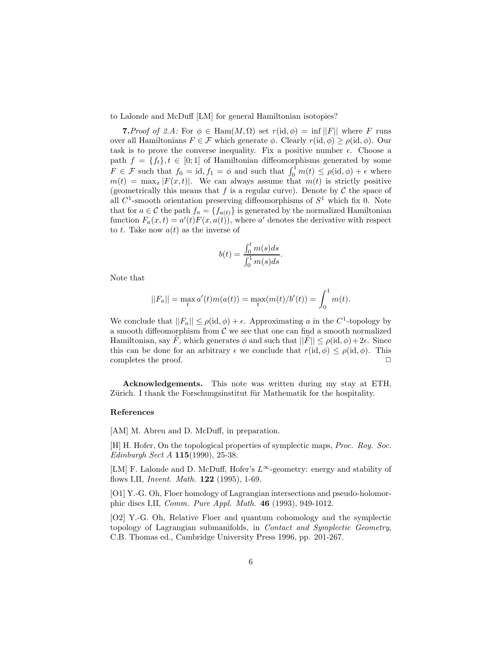to Lalonde and McDuff [LM] for general Hamiltonian isotopies?

**7.** Proof of 2.A: For  $\phi \in \text{Ham}(M, \Omega)$  set  $r(\text{id}, \phi) = \inf ||F||$  where F runs over all Hamiltonians  $F \in \mathcal{F}$  which generate  $\phi$ . Clearly  $r(\mathrm{id}, \phi) \geq \rho(\mathrm{id}, \phi)$ . Our task is to prove the converse inequality. Fix a positive number  $\epsilon$ . Choose a path  $f = \{f_t\}, t \in [0, 1]$  of Hamiltonian diffeomorphisms generated by some  $F \in \mathcal{F}$  such that  $f_0 = id, f_1 = \phi$  and such that  $\int_0^1 m(t) \le \rho(id, \phi) + \epsilon$  where  $m(t) = \max_x |F(x,t)|$ . We can always assume that  $m(t)$  is strictly positive (geometrically this means that f is a regular curve). Denote by  $\mathcal C$  the space of all  $C^1$ -smooth orientation preserving diffeomorphisms of  $S^1$  which fix 0. Note that for  $a \in \mathcal{C}$  the path  $f_a = \{f_{a(t)}\}$  is generated by the normalized Hamiltonian function  $F_a(x,t) = a'(t)F(x,a(t))$ , where a' denotes the derivative with respect to t. Take now  $a(t)$  as the inverse of

$$
b(t) = \frac{\int_0^t m(s)ds}{\int_0^1 m(s)ds}.
$$

Note that

$$
||F_a|| = \max_t a'(t) m(a(t)) = \max_t (m(t)/b'(t)) = \int_0^1 m(t).
$$

We conclude that  $||F_a|| \le \rho(\mathrm{id}, \phi) + \epsilon$ . Approximating a in the C<sup>1</sup>-topology by a smooth diffeomorphism from  $C$  we see that one can find a smooth normalized Hamiltonian, say F, which generates  $\phi$  and such that  $||F|| \leq \rho(\mathrm{id}, \phi) + 2\epsilon$ . Since this can be done for an arbitrary  $\epsilon$  we conclude that  $r(\mathrm{id}, \phi) \leq \rho(\mathrm{id}, \phi)$ . This completes the proof.  $\Box$ 

Acknowledgements. This note was written during my stay at ETH, Zürich. I thank the Forschungsinstitut für Mathematik for the hospitality.

## References

[AM] M. Abreu and D. McDuff, in preparation.

[H] H. Hofer, On the topological properties of symplectic maps, *Proc. Roy. Soc. Edinburgh Sect A* 115(1990), 25-38.

[LM] F. Lalonde and D. McDuff, Hofer's L<sup>∞</sup>-geometry: energy and stability of flows I,II, *Invent. Math.* 122 (1995), 1-69.

[O1] Y.-G. Oh, Floer homology of Lagrangian intersections and pseudo-holomorphic discs I,II, *Comm. Pure Appl. Math.* 46 (1993), 949-1012.

[O2] Y.-G. Oh, Relative Floer and quantum cohomology and the symplectic topology of Lagrangian submanifolds, in *Contact and Symplectic Geometry*, C.B. Thomas ed., Cambridge University Press 1996, pp. 201-267.